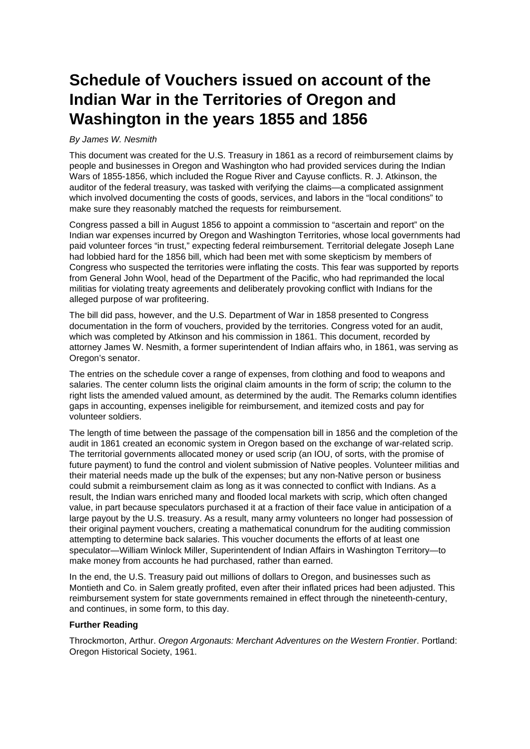## **Schedule of Vouchers issued on account of the Indian War in the Territories of Oregon and Washington in the years 1855 and 1856**

## By James W. Nesmith

This document was created for the U.S. Treasury in 1861 as a record of reimbursement claims by people and businesses in Oregon and Washington who had provided services during the Indian Wars of 1855-1856, which included the Rogue River and Cayuse conflicts. R. J. Atkinson, the auditor of the federal treasury, was tasked with verifying the claims—a complicated assignment which involved documenting the costs of goods, services, and labors in the "local conditions" to make sure they reasonably matched the requests for reimbursement.

Congress passed a bill in August 1856 to appoint a commission to "ascertain and report" on the Indian war expenses incurred by Oregon and Washington Territories, whose local governments had paid volunteer forces "in trust," expecting federal reimbursement. Territorial delegate Joseph Lane had lobbied hard for the 1856 bill, which had been met with some skepticism by members of Congress who suspected the territories were inflating the costs. This fear was supported by reports from General John Wool, head of the Department of the Pacific, who had reprimanded the local militias for violating treaty agreements and deliberately provoking conflict with Indians for the alleged purpose of war profiteering.

The bill did pass, however, and the U.S. Department of War in 1858 presented to Congress documentation in the form of vouchers, provided by the territories. Congress voted for an audit, which was completed by Atkinson and his commission in 1861. This document, recorded by attorney James W. Nesmith, a former superintendent of Indian affairs who, in 1861, was serving as Oregon's senator.

The entries on the schedule cover a range of expenses, from clothing and food to weapons and salaries. The center column lists the original claim amounts in the form of scrip; the column to the right lists the amended valued amount, as determined by the audit. The Remarks column identifies gaps in accounting, expenses ineligible for reimbursement, and itemized costs and pay for volunteer soldiers.

The length of time between the passage of the compensation bill in 1856 and the completion of the audit in 1861 created an economic system in Oregon based on the exchange of war-related scrip. The territorial governments allocated money or used scrip (an IOU, of sorts, with the promise of future payment) to fund the control and violent submission of Native peoples. Volunteer militias and their material needs made up the bulk of the expenses; but any non-Native person or business could submit a reimbursement claim as long as it was connected to conflict with Indians. As a result, the Indian wars enriched many and flooded local markets with scrip, which often changed value, in part because speculators purchased it at a fraction of their face value in anticipation of a large payout by the U.S. treasury. As a result, many army volunteers no longer had possession of their original payment vouchers, creating a mathematical conundrum for the auditing commission attempting to determine back salaries. This voucher documents the efforts of at least one speculator—William Winlock Miller, Superintendent of Indian Affairs in Washington Territory—to make money from accounts he had purchased, rather than earned.

In the end, the U.S. Treasury paid out millions of dollars to Oregon, and businesses such as Montieth and Co. in Salem greatly profited, even after their inflated prices had been adjusted. This reimbursement system for state governments remained in effect through the nineteenth-century, and continues, in some form, to this day.

## **Further Reading**

Throckmorton, Arthur. Oregon Argonauts: Merchant Adventures on the Western Frontier. Portland: Oregon Historical Society, 1961.